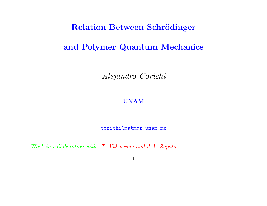### Relation Between Schrödinger

# and Polymer Quantum Mechanics

Alejandro Corichi

#### UNAM

corichi@matmor.unam.mx

Work in collaboration with: T. Vukašinac and J.A. Zapata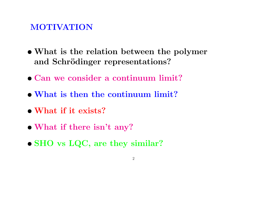## MOTIVATION

- What is the relation between the polymer and Schrödinger representations?
- Can we consider a continuum limit?
- What is then the continuum limit?
- What if it exists?
- What if there isn't any?
- SHO vs LQC, are they similar?
	- 2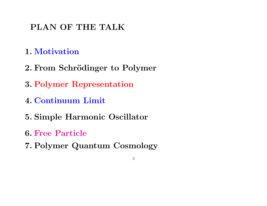# PLAN OF THE TALK

- 1. Motivation
- 2. From Schrödinger to Polymer
- 3. Polymer Representation
- 4. Continuum Limit
- 5. Simple Harmonic Oscillator
- 6. Free Particle
- 7. Polymer Quantum Cosmology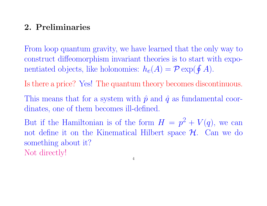## 2. Preliminaries

From loop quantum gravity, we have learned that the only way to construct diffeomorphism invariant theories is to start with exponentiated objects, like holonomies:  $h_e(A) = \mathcal{P} \exp(\oint A)$ .

Is there a price? Yes! The quantum theory becomes discontinuous.

This means that for a system with  $\hat{p}$  and  $\hat{q}$  as fundamental coordinates, one of them becomes ill-defined.

But if the Hamiltonian is of the form  $H = p^2 + V(q)$ , we can not define it on the Kinematical Hilbert space  $\mathcal{H}$ . Can we do something about it? Not directly!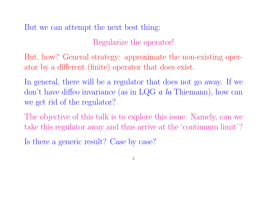But we can attempt the next best thing:

Regularize the operator!

But, how? General strategy: approximate the non-existing operator by a different (finite) operator that does exist.

In general, there will be a regulator that does not go away. If we don't have diffeo invariance (as in LQG  $a$  la Thiemann), how can we get rid of the regulator?

The objective of this talk is to explore this issue. Namely, can we take this regulator away and thus arrive at the 'continuum limit'?

Is there a generic result? Case by case?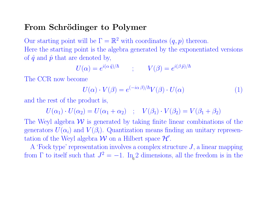## From Schrödinger to Polymer

Our starting point will be  $\Gamma = \mathbb{R}^2$  with coordinates  $(q, p)$  thereon. Here the starting point is the algebra generated by the exponentiated versions of  $\hat{q}$  and  $\hat{p}$  that are denoted by,

$$
U(\alpha) = e^{i(\alpha \hat{q})/\hbar} \qquad ; \qquad V(\beta) = e^{i(\beta \hat{p})/\hbar}
$$

The CCR now become

$$
U(\alpha) \cdot V(\beta) = e^{(-i\alpha \beta)/\hbar} V(\beta) \cdot U(\alpha)
$$
 (1)

and the rest of the product is,

$$
U(\alpha_1) \cdot U(\alpha_2) = U(\alpha_1 + \alpha_2) \quad ; \quad V(\beta_1) \cdot V(\beta_2) = V(\beta_1 + \beta_2)
$$

The Weyl algebra  $W$  is generated by taking finite linear combinations of the generators  $U(\alpha_i)$  and  $V(\beta_i)$ . Quantization means finding an unitary representation of the Weyl algebra  $W$  on a Hilbert space  $\mathcal{H}'$ .

A 'Fock type' representation involves a complex structure  $J$ , a linear mapping from  $\Gamma$  to itself such that  $J^2 = -1$ . In<sub>6</sub>2 dimensions, all the freedom is in the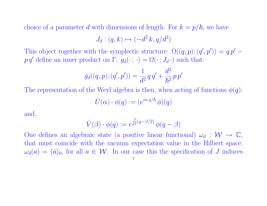choice of a parameter d with dimensions of length. For  $k = p/\hbar$ , we have

$$
J_d: (q, k) \mapsto (-d^2 k, q/d^2)
$$

This object together with the symplectic structure:  $\Omega((q, p); (q', p')) = q p'$  $p q'$  define an inner product on  $\Gamma: g_d(\cdot; \cdot) = \Omega(\cdot; J_d \cdot)$  such that:

$$
g_d((q,p);(q',p')) = \frac{1}{d^2} q q' + \frac{d^2}{\hbar^2} p p'
$$

The representation of the Weyl algebra is then, when acting of functions  $\phi(q)$ :  $\hat{U}(\alpha) \cdot \phi(q) := (e^{i\alpha q/\hbar} \phi)(q)$ 

and,

$$
\hat{V}(\beta) \cdot \phi(q) := e^{\frac{\beta}{d^2}(q - \beta/2)} \phi(q - \beta)
$$

One defines an algebraic state (a positive linear functional)  $\omega_d : \mathcal{W} \to \mathbb{C}$ , that must coincide with the vacuum expectation value in the Hilbert space:  $\omega_d(a) = \langle \hat{a} \rangle_0$ , for all  $a \in \mathcal{W}$ . In our case this the specification of J induces 7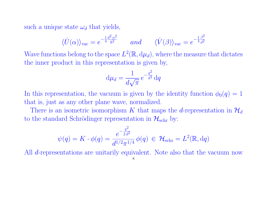such a unique state  $\omega_d$  that yields,

$$
\langle \hat{U}(\alpha)\rangle_{\text{vac}} = e^{-\frac{1}{4}\frac{d^2\alpha^2}{\hbar^2}} \qquad and \qquad \langle \hat{V}(\beta)\rangle_{\text{vac}} = e^{-\frac{1}{4}\frac{\beta^2}{d^2}}
$$

Wave functions belong to the space  $L^2(\mathbb{R}, d\mu_d)$ , where the measure that dictates the inner product in this representation is given by,

$$
d\mu_d = \frac{1}{d\sqrt{\pi}} e^{-\frac{q^2}{d^2}} dq
$$

In this representation, the vacuum is given by the identity function  $\phi_0(q) = 1$ that is, just as any other plane wave, normalized.

There is an isometric isomorphism K that maps the d-representation in  $\mathcal{H}_d$ to the standard Schrödinger representation in  $\mathcal{H}_{\text{schr}}$  by:

$$
\psi(q)=K\cdot \phi(q)=\frac{e^{-\frac{q^2}{2\,d^2}}}{d^{1/2}\pi^{1/4}}\,\phi(q)\,\in\, \mathcal{H}_{\text{schr}}=L^2(\mathbb{R},\text{d} q)
$$

All *d*-representations are unitarily equivalent. Note also that the vacuum now

8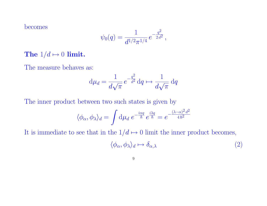becomes

$$
\psi_0(q) = \frac{1}{d^{1/2}\pi^{1/4}} e^{-\frac{q^2}{2d^2}},
$$

The  $1/d \mapsto 0$  limit.

The measure behaves as:

$$
d\mu_d = \frac{1}{d\sqrt{\pi}} e^{-\frac{q^2}{d^2}} dq \mapsto \frac{1}{d\sqrt{\pi}} dq
$$

The inner product between two such states is given by

$$
\langle \phi_{\alpha}, \phi_{\lambda} \rangle_d = \int d\mu_d \ e^{-\frac{i\alpha q}{\hbar}} e^{\frac{i\lambda q}{\hbar}} = e^{-\frac{(\lambda - \alpha)^2 d^2}{4\hbar^2}}
$$

It is immediate to see that in the  $1/d \mapsto 0$  limit the inner product becomes,

$$
\langle \phi_{\alpha}, \phi_{\lambda} \rangle_d \mapsto \delta_{\alpha,\lambda} \tag{2}
$$

$$
9 \\
$$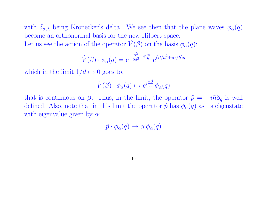with  $\delta_{\alpha,\lambda}$  being Kronecker's delta. We see then that the plane waves  $\phi_{\alpha}(q)$ become an orthonormal basis for the new Hilbert space. Let us see the action of the operator  $\hat{V}(\beta)$  on the basis  $\phi_{\alpha}(q)$ :

$$
\hat{V}(\beta) \cdot \phi_{\alpha}(q) = e^{-\frac{\beta^2}{2d^2} - i\frac{\alpha\beta}{\hbar}} e^{(\beta/d^2 + i\alpha/\hbar)q}
$$

which in the limit  $1/d \mapsto 0$  goes to,

$$
\hat{V}(\beta) \cdot \phi_{\alpha}(q) \mapsto e^{i\frac{\alpha\beta}{\hbar}} \phi_{\alpha}(q)
$$

that is continuous on  $\beta$ . Thus, in the limit, the operator  $\hat{p} = -i\hbar\partial_q$  is well defined. Also, note that in this limit the operator  $\hat{p}$  has  $\phi_{\alpha}(q)$  as its eigenstate with eigenvalue given by  $\alpha$ :

$$
\hat{p} \cdot \phi_{\alpha}(q) \mapsto \alpha \phi_{\alpha}(q)
$$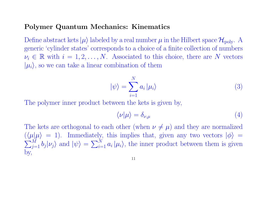#### Polymer Quantum Mechanics: Kinematics

Define abstract kets  $|\mu\rangle$  labeled by a real number  $\mu$  in the Hilbert space  $\mathcal{H}_{\text{poly}}$ . A generic 'cylinder states' corresponds to a choice of a finite collection of numbers  $\nu_i \in \mathbb{R}$  with  $i = 1, 2, ..., N$ . Associated to this choice, there are N vectors  $|\mu_i\rangle$ , so we can take a linear combination of them

$$
|\psi\rangle = \sum_{i=1}^{N} a_i |\mu_i\rangle \tag{3}
$$

The polymer inner product between the kets is given by,

$$
\langle \nu | \mu \rangle = \delta_{\nu, \mu} \tag{4}
$$

The kets are orthogonal to each other (when  $\nu \neq \mu$ ) and they are normalized  $(\langle \mu | \mu \rangle = 1)$ . Immediately, this implies that, given any two vectors  $|\phi\rangle =$  $\sum_{j=1}^M b_j |\nu_j\rangle$  and  $|\psi\rangle = \sum_{i=1}^N a_i |\mu_i\rangle$ , the inner product between them is given by,

$$
11\quad
$$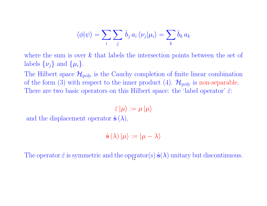$$
\langle \phi | \psi \rangle = \sum_{i} \sum_{j} \bar{b}_{j} a_{i} \langle \nu_{j} | \mu_{i} \rangle = \sum_{k} \bar{b}_{k} a_{k}
$$

where the sum is over  $k$  that labels the intersection points between the set of labels  $\{\nu_i\}$  and  $\{\mu_i\}$ .

The Hilbert space  $\mathcal{H}_{\text{poly}}$  is the Cauchy completion of finite linear combination of the form (3) with respect to the inner product (4).  $\mathcal{H}_{poly}$  is non-separable. There are two basic operators on this Hilbert space: the 'label operator'  $\hat{\varepsilon}$ :

 $\hat{\varepsilon}|\mu\rangle := \mu |\mu\rangle$ 

and the displacement operator  $\hat{\mathbf{s}}(\lambda)$ ,

$$
\hat{\mathbf{s}}\left(\lambda\right)|\mu\rangle:=|\mu-\lambda\rangle
$$

The operator  $\hat{\epsilon}$  is symmetric and the operator(s)  $\hat{\mathbf{s}}(\lambda)$  unitary but discontinuous.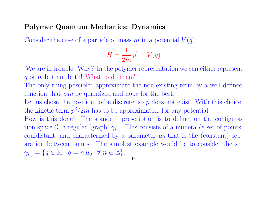#### Polymer Quantum Mechanics: Dynamics

Consider the case of a particle of mass m in a potential  $V(q)$ :

$$
H = \frac{1}{2m}p^2 + V(q)
$$

We are in trouble. Why? In the polymer representation we can either represent  $q$  or  $p$ , but not both! What to do then?

The only thing possible: approximate the non-existing term by a well defined function that *can* be quantized and hope for the best.

Let us chose the position to be discrete, so  $\hat{p}$  does not exist. With this choice, the kinetic term  $\hat{p}^2/2m$  has to be approximated, for any potential.

How is this done? The standard prescription is to define, on the configuration space  $\mathcal{C}$ , a regular 'graph'  $\gamma_{\mu_0}$ . This consists of a numerable set of points, equidistant, and characterized by a parameter  $\mu_0$  that is the (constant) separation between points. The simplest example would be to consider the set  $\gamma_{\mu_0} = \{q \in \mathbb{R} \mid q = n \mu_0, \forall n \in \mathbb{Z}\}.$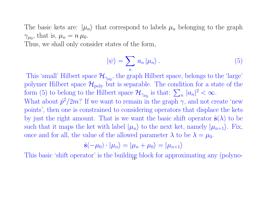The basic kets are:  $|\mu_n\rangle$  that correspond to labels  $\mu_n$  belonging to the graph  $\gamma_{\mu_0}$ , that is,  $\mu_n = n \mu_0$ .

Thus, we shall only consider states of the form,

$$
|\psi\rangle = \sum_{n} a_{n} |\mu_{n}\rangle. \tag{5}
$$

This 'small' Hilbert space  $\mathcal{H}_{\gamma\mu_0}$ , the graph Hilbert space, belongs to the 'large' polymer Hilbert space  $\mathcal{H}_{\text{poly}}$  but is separable. The condition for a state of the form (5) to belong to the Hilbert space  $\mathcal{H}_{\gamma_{\mu_0}}$  is that:  $\sum_n |a_n|^2 < \infty$ . What about  $\hat{p}^2/2m$ ? If we want to remain in the graph  $\gamma$ , and not create 'new points', then one is constrained to considering operators that displace the kets by just the right amount. That is we want the basic shift operator  $\hat{\mathbf{s}}(\lambda)$  to be such that it maps the ket with label  $|\mu_n\rangle$  to the next ket, namely  $|\mu_{n+1}\rangle$ . Fix, once and for all, the value of the allowed parameter  $\lambda$  to be  $\lambda = \mu_0$ .

$$
\hat{\mathbf{s}}(-\mu_0)\cdot|\mu_n\rangle=|\mu_n+\mu_0\rangle=|\mu_{n+1}\rangle
$$

This basic 'shift operator' is the building block for approximating any (polyno-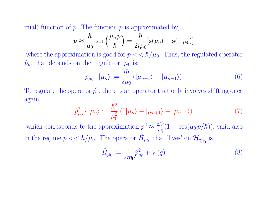mial) function of  $p$ . The function  $p$  is approximated by,

$$
p \approx \frac{\hbar}{\mu_0} \sin\left(\frac{\mu_0 p}{\hbar}\right) = \frac{\hbar}{2i\mu_0} [\mathbf{s}(\mu_0) - \mathbf{s}(-\mu_0)]
$$

where the approximation is good for  $p \ll \hbar/\mu_0$ . Thus, the regulated operator  $\hat{p}_{\mu_0}$  that depends on the 'regulator'  $\mu_0$  is:

$$
\hat{p}_{\mu_0} \cdot |\mu_n\rangle := \frac{i\hbar}{2\mu_0} (|\mu_{n+1}\rangle - |\mu_{n-1}\rangle)
$$
\n(6)

To regulate the operator  $\hat{p}^2$ , there is an operator that only involves shifting once again:

$$
\hat{p}_{\mu_0}^2 \cdot |\mu_n\rangle := \frac{\hbar^2}{\mu_0^2} (2|\mu_n\rangle - |\mu_{n+1}\rangle - |\mu_{n-1}\rangle)
$$
\n(7)

which corresponds to the approximation  $p^2 \approx \frac{2\hbar^2}{a^2}$  $\overline{\mu_0^2}$  $\boldsymbol{0}$  $(1 - \cos(\mu_0 p/\hbar))$ , valid also in the regime  $p \ll \hbar/\mu_0$ . The operator  $\hat{H}_{\mu_0}$ , that 'lives' on  $\mathcal{H}_{\gamma_{\mu_0}}$  is,

$$
\hat{H}_{\mu_0} := \frac{1}{2m_5} \hat{p}_{\mu_0}^2 + \hat{V}(q)
$$
\n(8)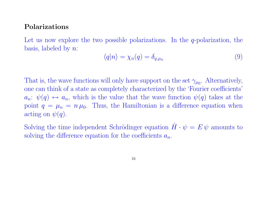#### Polarizations

Let us now explore the two possible polarizations. In the  $q$ -polarization, the basis, labeled by  $n$ :

$$
\langle q|n\rangle = \chi_n(q) = \delta_{q,\mu_n} \tag{9}
$$

That is, the wave functions will only have support on the set  $\gamma_{\mu_0}$ . Alternatively, one can think of a state as completely characterized by the 'Fourier coefficients'  $a_n: \psi(q) \leftrightarrow a_n$ , which is the value that the wave function  $\psi(q)$  takes at the point  $q = \mu_n = n \mu_0$ . Thus, the Hamiltonian is a difference equation when acting on  $\psi(q)$ .

Solving the time independent Schrödinger equation  $\hat{H} \cdot \psi = E \psi$  amounts to solving the difference equation for the coefficients  $a_n$ .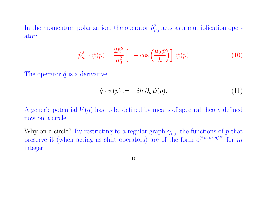In the momentum polarization, the operator  $\hat{p}_{\mu}^2$  $\mu_0^2$  acts as a multiplication operator:

$$
\hat{p}_{\mu_0}^2 \cdot \psi(p) = \frac{2\hbar^2}{\mu_0^2} \left[ 1 - \cos\left(\frac{\mu_0 p}{\hbar}\right) \right] \psi(p) \tag{10}
$$

The operator  $\hat{q}$  is a derivative:

$$
\hat{q} \cdot \psi(p) := -i\hbar \partial_p \psi(p). \tag{11}
$$

A generic potential  $V(q)$  has to be defined by means of spectral theory defined now on a circle.

Why on a circle? By restricting to a regular graph  $\gamma_{\mu_0}$ , the functions of p that preserve it (when acting as shift operators) are of the form  $e^{(i m \mu_0 p/\hbar)}$  for m integer.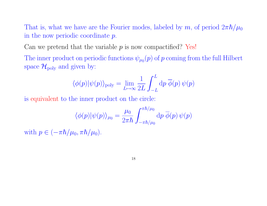That is, what we have are the Fourier modes, labeled by m, of period  $2\pi\hbar/\mu_0$ in the now periodic coordinate p.

Can we pretend that the variable  $p$  is now compactified? Yes!

The inner product on periodic functions  $\psi_{\mu_0}(p)$  of  $p$  coming from the full Hilbert space  $\mathcal{H}_{\text{poly}}$  and given by:

$$
\langle \phi(p)|\psi(p)\rangle_{\rm poly} = \lim_{L\mapsto \infty} \frac{1}{2L} \int_{-L}^{L} dp \; \overline{\phi}(p) \, \psi(p)
$$

is equivalent to the inner product on the circle:

$$
\langle \phi(p) | \psi(p) \rangle_{\mu_0} = \frac{\mu_0}{2\pi\hbar} \int_{-\pi\hbar/\mu_0}^{\pi\hbar/\mu_0} \mathrm{d}p \; \overline{\phi}(p) \, \psi(p)
$$

with  $p \in (-\pi \hbar/\mu_0, \pi \hbar/\mu_0)$ .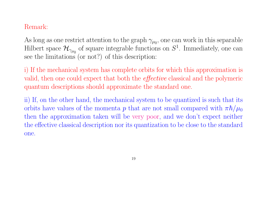### Remark:

As long as one restrict attention to the graph  $\gamma_{\mu_0}$ , one can work in this separable Hilbert space  $\mathcal{H}_{\gamma_{\mu_0}}$  of square integrable functions on  $S^1$ . Immediately, one can see the limitations (or not?) of this description:

i) If the mechanical system has complete orbits for which this approximation is valid, then one could expect that both the effective classical and the polymeric quantum descriptions should approximate the standard one.

ii) If, on the other hand, the mechanical system to be quantized is such that its orbits have values of the momenta p that are not small compared with  $\pi \hbar / \mu_0$ then the approximation taken will be very poor, and we don't expect neither the effective classical description nor its quantization to be close to the standard one.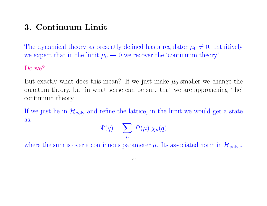## 3. Continuum Limit

The dynamical theory as presently defined has a regulator  $\mu_0 \neq 0$ . Intuitively we expect that in the limit  $\mu_0 \rightarrow 0$  we recover the 'continuum theory'.

#### Do we?

But exactly what does this mean? If we just make  $\mu_0$  smaller we change the quantum theory, but in what sense can be sure that we are approaching 'the' continuum theory.

If we just lie in  $\mathcal{H}_{poly}$  and refine the lattice, in the limit we would get a state as:

$$
\Psi(q) = \sum_{\mu} \Psi(\mu) \; \chi_{\mu}(q)
$$

where the sum is over a continuous parameter  $\mu$ . Its associated norm in  $\mathcal{H}_{poly,x}$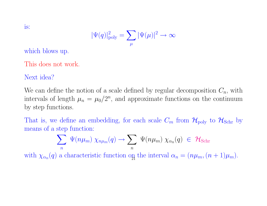$$
|\Psi(q)|_{\rm poly}^2=\sum_{\mu}|\Psi(\mu)|^2\to\infty
$$

which blows up.

This does not work.

Next idea?

We can define the notion of a scale defined by regular decomposition  $C_n$ , with intervals of length  $\mu_n = \mu_0/2^n$ , and approximate functions on the continuum by step functions.

That is, we define an embedding, for each scale  $C_m$  from  $\mathcal{H}_{\text{poly}}$  to  $\mathcal{H}_{\text{Schr}}$  by means of a step function:

$$
\sum_{n} \Psi(n\mu_{m}) \chi_{n\mu_{m}}(q) \to \sum_{n} \Psi(n\mu_{m}) \chi_{\alpha_{n}}(q) \in \mathcal{H}_{\text{Schr}}
$$
  
with  $\chi_{\alpha_{n}}(q)$  a characteristic function on the interval  $\alpha_{n} = (n\mu_{m}, (n+1)\mu_{m}).$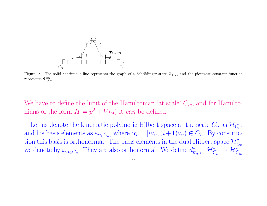

Figure 1: The solid continuous line represents the graph of a Schrödinger state  $\Psi_{0, Sch}$  and the piecewise constant function represents  $\Psi_{0,C_m}^{\text{ren}}$ .

We have to define the limit of the Hamiltonian 'at scale'  $C_m$ , and for Hamiltonians of the form  $H = p^2 + V(q)$  it can be defined.

Let us denote the kinematic polymeric Hilbert space at the scale  $C_n$  as  $\mathcal{H}_{C_n}$ , and his basis elements as  $e_{\alpha_i, C_n}$ , where  $\alpha_i = [ia_n, (i+1)a_n] \in C_n$ . By construction this basis is orthonormal. The basis elements in the dual Hilbert space  $\mathcal{H}_{C_n}^*$ we denote by  $\omega_{\alpha_i,C_n}$ . They are also orthonormal. We define  $d_{m,n}^* : \mathcal{H}_{C_n}^* \to \mathcal{H}_{C_m}^*$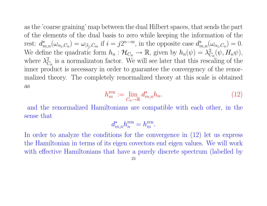as the 'coarse graining' map between the dual Hilbert spaces, that sends the part of the elements of the dual basis to zero while keeping the information of the rest:  $d_{m,n}^*(\omega_{\alpha_i,C_n}) = \omega_{\beta_j,C_m}$  if  $i = j2^{n-m}$ , in the opposite case  $d_{m,n}^*(\omega_{\alpha_i,C_n}) = 0$ . We define the quadratic form  $h_n : \mathcal{H}_{C_n} \to \mathbb{R}$ , given by  $h_n(\psi) = \lambda_C^2$  $\,^2_{C_n}(\psi,H_n\psi),$ where  $\lambda_0^2$  $C_n$  is a normalizaton factor. We will see later that this rescaling of the inner product is necessary in order to guarantee the convergency of the renormalized theory. The completely renormalized theory at this scale is obtained as

$$
h_m^{\text{ren}} := \lim_{C_n \to \mathbb{R}} d_{m,n}^{\star} h_n. \tag{12}
$$

and the renormalized Hamiltonians are compatible with each other, in the sense that

$$
d_{m,n}^* h_n^{\text{ren}} = h_m^{\text{ren}}.
$$

In order to analyze the conditions for the convergence in  $(12)$  let us express the Hamiltonian in terms of its eigen covectors end eigen values. We will work with effective Hamiltonians that have a purely discrete spectrum (labelled by

$$
\overline{23}
$$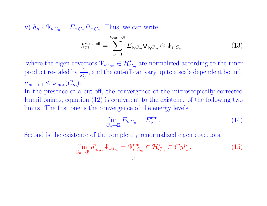$\nu)$   $h_n \cdot \Psi_{\nu,C_n} = E_{\nu,C_n} \Psi_{\nu,C_n}$ . Thus, we can write

$$
h_m^{\nu_{\text{cut-off}}} = \sum_{\nu=0}^{\nu_{\text{cut-off}}} E_{\nu,C_m} \Psi_{\nu,C_m} \otimes \Psi_{\nu,C_m}, \qquad (13)
$$

where the eigen covectors  $\Psi_{\nu,C_m} \in \mathcal{H}_{C_m}^*$  are normalized according to the inner product rescaled by  $\frac{1}{\lambda_c^2}$  $C_{\bm n}$ , and the cut-off can vary up to a scale dependent bound,  $\nu_{\rm cut-off} \leq \nu_{\rm max}(C_m).$ In the presence of a cut-off, the convergence of the microscopically corrected Hamiltonians, equation (12) is equivalent to the existence of the following two limits. The first one is the convergence of the energy levels,

$$
\lim_{C_n \to \mathbb{R}} E_{\nu, C_n} = E_{\nu}^{\text{ren}}.
$$
\n(14)

Second is the existence of the completely renormalized eigen covectors,

$$
\lim_{C_n \to \mathbb{R}} d_{m,n}^* \Psi_{\nu,C_n} = \Psi_{\nu,C_m}^{\text{ren}} \in \mathcal{H}_{C_m}^* \subset Cyl_x^*.
$$
 (15)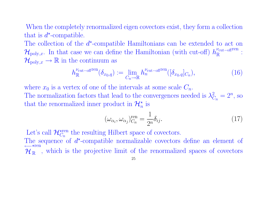When the completely renormalized eigen covectors exist, they form a collection that is  $d^*$ -compatible.

The collection of the  $d^*$ -compatible Hamiltonians can be extended to act on  $\mathcal{H}_{poly,x}$ . In that case we can define the Hamiltonian (with cut-off)  $h_{\mathbb{R}}^{\nu_{\text{cut-off}}$ <sup>ren</sup>  $\frac{\nu_{\rm cut-off}}{\mathbb{R}}$  :  $\mathcal{H}_{\text{poly},x} \to \mathbb{R}$  in the continuum as

$$
h_{\mathbb{R}}^{\nu_{\text{cut-off}}(S_{x_0,q})} := \lim_{C_n \to \mathbb{R}} h_n^{\nu_{\text{cut-off}}(S_{x_0,q}|_{C_n})},\tag{16}
$$

where  $x_0$  is a vertex of one of the intervals at some scale  $C_n$ . The normalization factors that lead to the convergences needed is  $\lambda_0^2$  $_{C_n}^2 = 2^n$ , so that the renormalized inner product in  $\mathcal{H}_n^*$  is

$$
(\omega_{\alpha_i}, \omega_{\alpha_j})_{C_n}^{\text{ren}} = \frac{1}{2^n} \delta_{ij}.
$$
\n(17)

Let's call  $\mathcal{H}_{C_n}^{\star \mathrm{ren}}$  the resulting Hilbert space of covectors. The sequence of  $d^*$ -compatible normalizable covectors define an element of ←−  $\mathcal{H}_{\mathbb{R}}$ , which is the projective limit of the renormalized spaces of covectors  $\star$ ren 25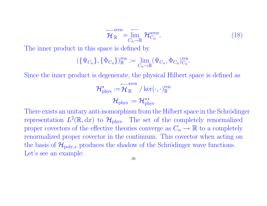$$
\overleftarrow{\mathcal{H}}_{\mathbb{R}}^{\star \text{ren}} = \overline{\lim}_{C_n \to \mathbb{R}} \mathcal{H}_{C_n}^{\star \text{ren}}.
$$
\n(18)

The inner product in this space is defined by

$$
(\{\Psi_{C_n}\},\{\Phi_{C_n}\})^{\text{ren}}_{\mathbb{R}} := \lim_{C_n \to \mathbb{R}} (\Psi_{C_n},\Phi_{C_n})^{\text{ren}}_{C_n}.
$$

Since the inner product is degenerate, the physical Hilbert space is defined as

$$
\mathcal{H}_{\rm phys}^{\star} := \stackrel{\longleftarrow}{\mathcal{H}}^{\star{\rm ren}}_{\mathbb{R}}/\ker(\cdot,\cdot)^{\rm ren}_{\mathbb{R}}
$$

$$
\mathcal{H}_{\rm phys} := \mathcal{H}_{\rm phys}^{\star\star}
$$

There exists an unitary anti-isomorphism from the Hilbert space in the Schrödinger representation  $L^2(\mathbb{R}, dx)$  to  $\mathcal{H}_{\text{phys}}$ . The set of the completely renormalized proper covectors of the effective theories converge as  $C_n \to \mathbb{R}$  to a completely renormalized proper covector in the continuum. This covector when acting on the basis of  $\mathcal{H}_{\text{poly},x}$  produces the shadow of the Schrödinger wave functions. Let's see an example: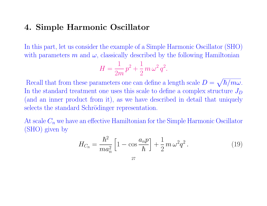### 4. Simple Harmonic Oscillator

In this part, let us consider the example of a Simple Harmonic Oscillator (SHO) with parameters m and  $\omega$ , classically described by the following Hamiltonian

$$
H = \frac{1}{2m}p^2 + \frac{1}{2}m\,\omega^2\,q^2.
$$

Recall that from these parameters one can define a length scale  $D = \sqrt{\hbar/m\omega}$ . In the standard treatment one uses this scale to define a complex structure  $J_D$ (and an inner product from it), as we have described in detail that uniquely selects the standard Schrödinger representation.

At scale  $C_n$  we have an effective Hamiltonian for the Simple Harmonic Oscillator (SHO) given by

$$
H_{C_n} = \frac{\hbar^2}{ma_n^2} \left[ 1 - \cos \frac{a_n p}{\hbar} \right] + \frac{1}{2} m \,\omega^2 q^2 \,. \tag{19}
$$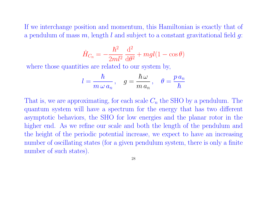If we interchange position and momentum, this Hamiltonian is exactly that of a pendulum of mass m, length l and subject to a constant gravitational field  $q$ :

$$
\hat{H}_{C_n} = -\frac{\hbar^2}{2ml^2} \frac{\mathrm{d}^2}{\mathrm{d}\theta^2} + mgl(1 - \cos\theta)
$$

where those quantities are related to our system by,

$$
l=\frac{\hbar}{m\,\omega\,a_n},\quad g=\frac{\hbar\,\omega}{m\,a_n},\quad \theta=\frac{p\,a_n}{\hbar}
$$

That is, we are approximating, for each scale  $C_n$  the SHO by a pendulum. The quantum system will have a spectrum for the energy that has two different asymptotic behaviors, the SHO for low energies and the planar rotor in the higher end. As we refine our scale and both the length of the pendulum and the height of the periodic potential increase, we expect to have an increasing number of oscillating states (for a given pendulum system, there is only a finite number of such states).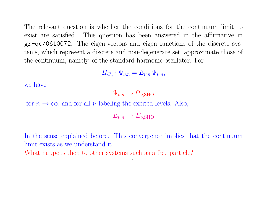The relevant question is whether the conditions for the continuum limit to exist are satisfied. This question has been answered in the affirmative in gr-qc/0610072: The eigen-vectors and eigen functions of the discrete systems, which represent a discrete and non-degenerate set, approximate those of the continuum, namely, of the standard harmonic oscillator. For

$$
H_{C_n} \cdot \Psi_{\nu,n} = E_{\nu,n} \Psi_{\nu,n},
$$

we have

$$
\Psi_{\nu,n} \to \Psi_{\nu,\rm SHO}
$$

for  $n \to \infty$ , and for all  $\nu$  labeling the excited levels. Also,

$$
E_{\nu,n} \to E_{\nu,\text{SHO}}
$$

In the sense explained before. This convergence implies that the continuum limit exists as we understand it.

What happens then to other systems such as a free particle?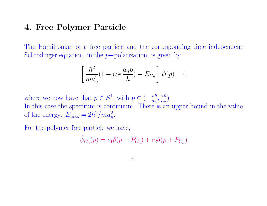### 4. Free Polymer Particle

The Hamiltonian of a free particle and the corresponding time independent Schrödinger equation, in the  $p$ -polarization, is given by

$$
\left[\frac{\hbar^2}{ma_n^2}(1-\cos\frac{a_n p}{\hbar}) - E_{C_n}\right]\tilde{\psi}(p) = 0
$$

where we now have that  $p \in S^1$ , with  $p \in \left(-\frac{\pi \hbar}{a}\right)$  $\frac{\pi\hbar}{a_n},\frac{\pi\hbar}{a_n}$  $\frac{\pi\hbar}{a_n}).$ In this case the spectrum is continuum. There is an upper bound in the value of the energy:  $E_{\text{max}} = 2\hbar^2 / ma_n^2$ .

For the polymer free particle we have,

$$
\tilde{\psi}_{C_n}(p) = c_1 \delta(p - P_{C_n}) + c_2 \delta(p + P_{C_n})
$$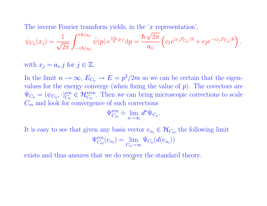The inverse Fourier transform yields, in the  $x$  representation', √

$$
\psi_{C_n}(x_j) = \frac{1}{\sqrt{2\pi}} \int_{-\pi\hbar/a_n}^{\pi\hbar/a_n} \tilde{\psi}(p) e^{\frac{ia_n}{\hbar} p j} dp = \frac{\hbar \sqrt{2\pi}}{a_n} \left( c_1 e^{ix_j P_{C_n}/\hbar} + c_2 e^{-ix_j P_{C_n}/\hbar} \right).
$$

with  $x_j = a_n j$  for  $j \in \mathbb{Z}$ .

In the limit  $n \to \infty$ ,  $E_{C_n} \to E = p^2/2m$  so we can be certain that the eigenvalues for the energy converge (when fixing the value of  $p$ ). The covectors are  $\Psi_{C_n} = (\psi_{C_n}, \cdot)_{C_n}^{\text{ren}}$  $C_n^{\text{ren}} \in \mathcal{H}_{C_n}^{\text{even}}$ . Then we can bring microscopic corrections to scale  $C_m$  and look for convergence of such corrections

$$
\Psi_{C_m}^{\text{ren}} \doteq \lim_{n \to \infty} d^{\star} \Psi_{C_n}.
$$

It is easy to see that given any basis vector  $e_{\alpha_i} \in \mathcal{H}_{C_m}$  the following limit

$$
\Psi^{\text{ren}}_{C_m}(e_{\alpha_i}) = \lim_{C_n \to \infty} \Psi_{C_n}(d(e_{\alpha_i}))
$$

exists and thus ansures that we do recover the standard theory.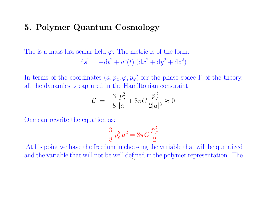### 5. Polymer Quantum Cosmology

The is a mass-less scalar field  $\varphi$ . The metric is of the form:

$$
ds^{2} = -dt^{2} + a^{2}(t) (dx^{2} + dy^{2} + dz^{2})
$$

In terms of the coordinates  $(a, p_a, \varphi, p_{\varphi})$  for the phase space  $\Gamma$  of the theory, all the dynamics is captured in the Hamiltonian constraint

$$
\mathcal{C} := -\frac{3}{8} \frac{p_a^2}{|a|} + 8\pi G \frac{p_\varphi^2}{2|a|^3} \approx 0
$$

One can rewrite the equation as:

$$
\frac{3}{8} p_a^2 a^2 = 8\pi G \frac{p_\varphi^2}{2}
$$

At his point we have the freedom in choosing the variable that will be quantized and the variable that will not be well defined in the polymer representation. The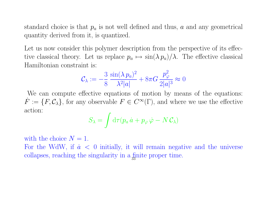standard choice is that  $p_a$  is not well defined and thus, a and any geometrical quantity derived from it, is quantized.

Let us now consider this polymer description from the perspective of its effective classical theory. Let us replace  $p_a \mapsto \sin(\lambda p_a)/\lambda$ . The effective classical Hamiltonian constraint is:

$$
\mathcal{C}_{\lambda} := -\frac{3}{8} \frac{\sin(\lambda p_a)^2}{\lambda^2 |a|} + 8\pi G \frac{p_\varphi^2}{2|a|^3} \approx 0
$$

We can compute effective equations of motion by means of the equations:  $\dot{F} := \{F, C_{\lambda}\}\$ , for any observable  $F \in C^{\infty}(\Gamma)$ , and where we use the effective action:

$$
S_{\lambda} = \int d\tau (p_a \dot{a} + p_{\varphi} \dot{\varphi} - N \mathcal{C}_{\lambda})
$$

with the choice  $N = 1$ . For the WdW, if  $\dot{a} < 0$  initially, it will remain negative and the universe collapses, reaching the singularity in a finite proper time.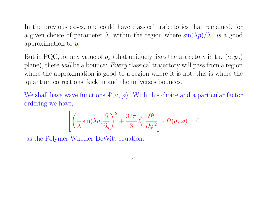In the previous cases, one could have classical trajectories that remained, for a given choice of parameter  $\lambda$ , within the region where  $\sin(\lambda p)/\lambda$  is a good approximation to p.

But in PQC, for any value of  $p_{\varphi}$  (that uniquely fixes the trajectory in the  $(a, p_a)$ ) plane), there will be a bounce: Every classical trajectory will pass from a region where the approximation is good to a region where it is not; this is where the 'quantum corrections' kick in and the universes bounces.

We shall have wave functions  $\Psi(a, \varphi)$ . With this choice and a particular factor ordering we have,

$$
\left[ \left( \frac{1}{\lambda} \sin(\lambda a) \frac{\partial}{\partial a} \right)^2 + \frac{32\pi}{3} \ell_p^2 \frac{\partial^2}{\partial \varphi^2} \right] \cdot \Psi(a, \varphi) = 0
$$

as the Polymer Wheeler-DeWitt equation.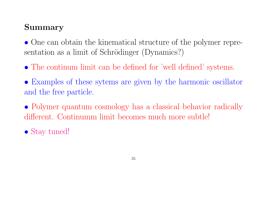# Summary

• One can obtain the kinematical structure of the polymer representation as a limit of Schrödinger (Dynamics?)

- The continum limit can be defined for 'well defined' systems.
- Examples of these sytems are given by the harmonic oscillator and the free particle.
- Polymer quantum cosmology has a classical behavior radically different. Continumm limit becomes much more subtle!
- Stay tuned!